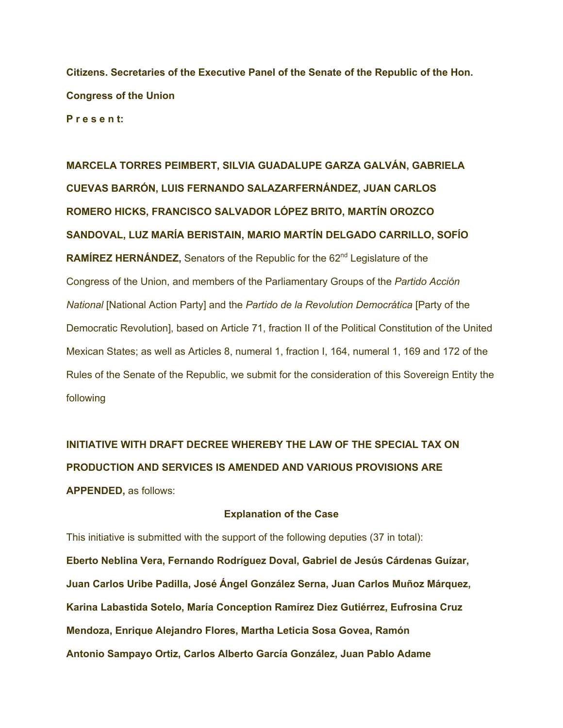**Citizens. Secretaries of the Executive Panel of the Senate of the Republic of the Hon. Congress of the Union P r e s e n t:**

**MARCELA TORRES PEIMBERT, SILVIA GUADALUPE GARZA GALVÁN, GABRIELA CUEVAS BARRÓN, LUIS FERNANDO SALAZARFERNÁNDEZ, JUAN CARLOS ROMERO HICKS, FRANCISCO SALVADOR LÓPEZ BRITO, MARTÍN OROZCO SANDOVAL, LUZ MARÍA BERISTAIN, MARIO MARTÍN DELGADO CARRILLO, SOFÍO RAMÍREZ HERNÁNDEZ, Senators of the Republic for the 62<sup>nd</sup> Legislature of the** Congress of the Union, and members of the Parliamentary Groups of the *Partido Acción National* [National Action Party] and the *Partido de la Revolution Democrática* [Party of the Democratic Revolution], based on Article 71, fraction II of the Political Constitution of the United Mexican States; as well as Articles 8, numeral 1, fraction I, 164, numeral 1, 169 and 172 of the Rules of the Senate of the Republic, we submit for the consideration of this Sovereign Entity the following

**INITIATIVE WITH DRAFT DECREE WHEREBY THE LAW OF THE SPECIAL TAX ON PRODUCTION AND SERVICES IS AMENDED AND VARIOUS PROVISIONS ARE APPENDED,** as follows:

## **Explanation of the Case**

This initiative is submitted with the support of the following deputies (37 in total): **Eberto Neblina Vera, Fernando Rodríguez Doval, Gabriel de Jesús Cárdenas Guízar, Juan Carlos Uribe Padilla, José Ángel González Serna, Juan Carlos Muñoz Márquez, Karina Labastida Sotelo, María Conception Ramírez Diez Gutiérrez, Eufrosina Cruz Mendoza, Enrique Alejandro Flores, Martha Leticia Sosa Govea, Ramón Antonio Sampayo Ortiz, Carlos Alberto García González, Juan Pablo Adame**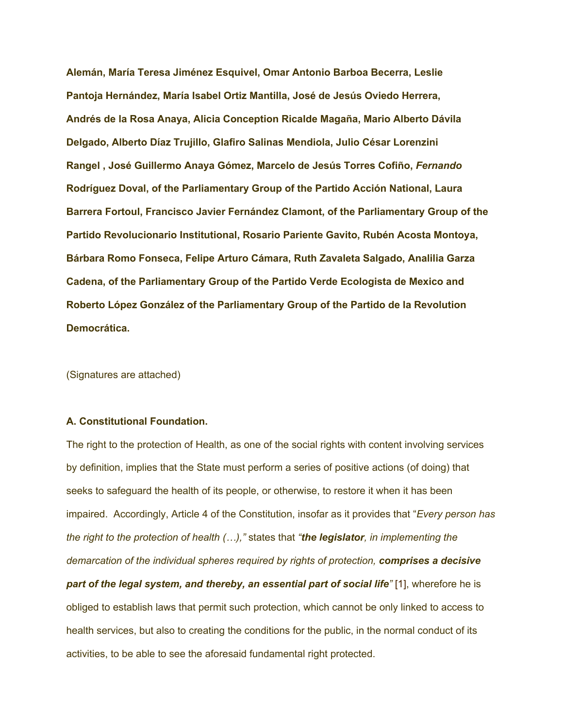**Alemán, María Teresa Jiménez Esquivel, Omar Antonio Barboa Becerra, Leslie Pantoja Hernández, María Isabel Ortiz Mantilla, José de Jesús Oviedo Herrera, Andrés de la Rosa Anaya, Alicia Conception Ricalde Magaña, Mario Alberto Dávila Delgado, Alberto Díaz Trujillo, Glafiro Salinas Mendiola, Julio César Lorenzini Rangel , José Guillermo Anaya Gómez, Marcelo de Jesús Torres Cofiño,** *Fernando*  **Rodríguez Doval, of the Parliamentary Group of the Partido Acción National, Laura Barrera Fortoul, Francisco Javier Fernández Clamont, of the Parliamentary Group of the Partido Revolucionario Institutional, Rosario Pariente Gavito, Rubén Acosta Montoya, Bárbara Romo Fonseca, Felipe Arturo Cámara, Ruth Zavaleta Salgado, Analilia Garza Cadena, of the Parliamentary Group of the Partido Verde Ecologista de Mexico and Roberto López González of the Parliamentary Group of the Partido de la Revolution Democrática.**

(Signatures are attached)

## **A. Constitutional Foundation.**

The right to the protection of Health, as one of the social rights with content involving services by definition, implies that the State must perform a series of positive actions (of doing) that seeks to safeguard the health of its people, or otherwise, to restore it when it has been impaired. Accordingly, Article 4 of the Constitution, insofar as it provides that "*Every person has the right to the protection of health (…),"* states that *"the legislator, in implementing the demarcation of the individual spheres required by rights of protection, comprises a decisive part of the legal system, and thereby, an essential part of social life"* [1], wherefore he is obliged to establish laws that permit such protection, which cannot be only linked to access to health services, but also to creating the conditions for the public, in the normal conduct of its activities, to be able to see the aforesaid fundamental right protected.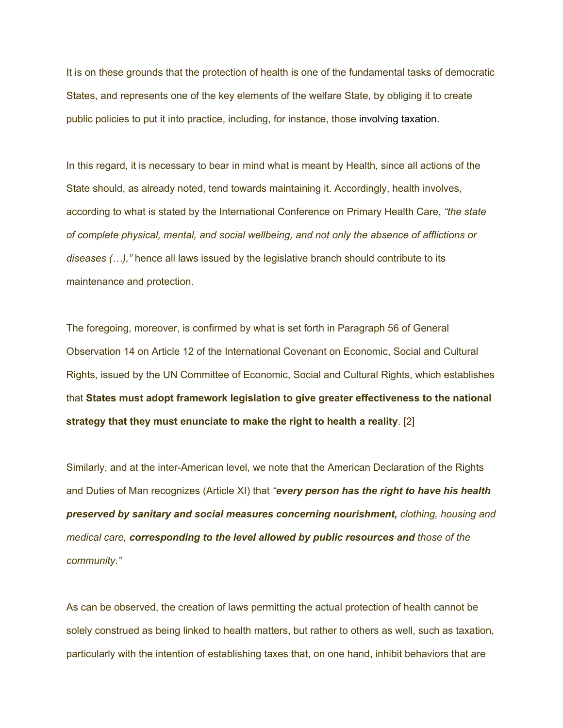It is on these grounds that the protection of health is one of the fundamental tasks of democratic States, and represents one of the key elements of the welfare State, by obliging it to create public policies to put it into practice, including, for instance, those involving taxation.

In this regard, it is necessary to bear in mind what is meant by Health, since all actions of the State should, as already noted, tend towards maintaining it. Accordingly, health involves, according to what is stated by the International Conference on Primary Health Care, *"the state of complete physical, mental, and social wellbeing, and not only the absence of afflictions or diseases (…),"* hence all laws issued by the legislative branch should contribute to its maintenance and protection.

The foregoing, moreover, is confirmed by what is set forth in Paragraph 56 of General Observation 14 on Article 12 of the International Covenant on Economic, Social and Cultural Rights, issued by the UN Committee of Economic, Social and Cultural Rights, which establishes that **States must adopt framework legislation to give greater effectiveness to the national strategy that they must enunciate to make the right to health a reality**. [2]

Similarly, and at the inter-American level, we note that the American Declaration of the Rights and Duties of Man recognizes (Article XI) that *"every person has the right to have his health preserved by sanitary and social measures concerning nourishment, clothing, housing and medical care, corresponding to the level allowed by public resources and those of the community."*

As can be observed, the creation of laws permitting the actual protection of health cannot be solely construed as being linked to health matters, but rather to others as well, such as taxation, particularly with the intention of establishing taxes that, on one hand, inhibit behaviors that are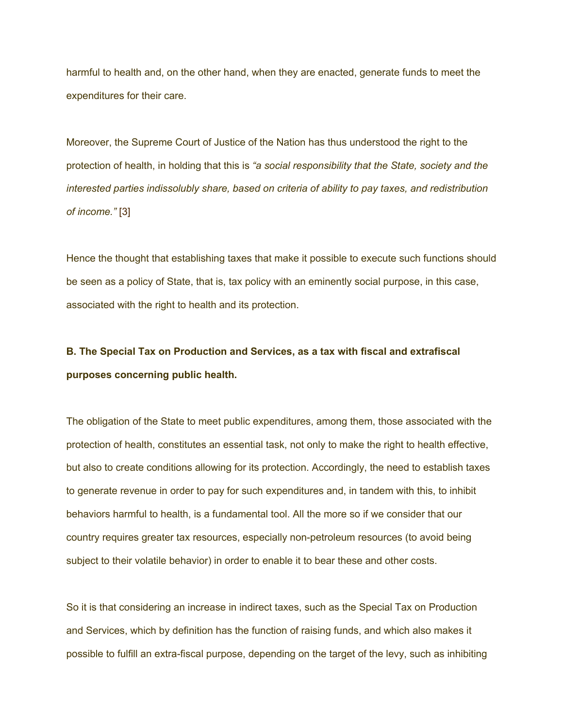harmful to health and, on the other hand, when they are enacted, generate funds to meet the expenditures for their care.

Moreover, the Supreme Court of Justice of the Nation has thus understood the right to the protection of health, in holding that this is *"a social responsibility that the State, society and the interested parties indissolubly share, based on criteria of ability to pay taxes, and redistribution of income."* [3]

Hence the thought that establishing taxes that make it possible to execute such functions should be seen as a policy of State, that is, tax policy with an eminently social purpose, in this case, associated with the right to health and its protection.

# **B. The Special Tax on Production and Services, as a tax with fiscal and extrafiscal purposes concerning public health.**

The obligation of the State to meet public expenditures, among them, those associated with the protection of health, constitutes an essential task, not only to make the right to health effective, but also to create conditions allowing for its protection. Accordingly, the need to establish taxes to generate revenue in order to pay for such expenditures and, in tandem with this, to inhibit behaviors harmful to health, is a fundamental tool. All the more so if we consider that our country requires greater tax resources, especially non-petroleum resources (to avoid being subject to their volatile behavior) in order to enable it to bear these and other costs.

So it is that considering an increase in indirect taxes, such as the Special Tax on Production and Services, which by definition has the function of raising funds, and which also makes it possible to fulfill an extra-fiscal purpose, depending on the target of the levy, such as inhibiting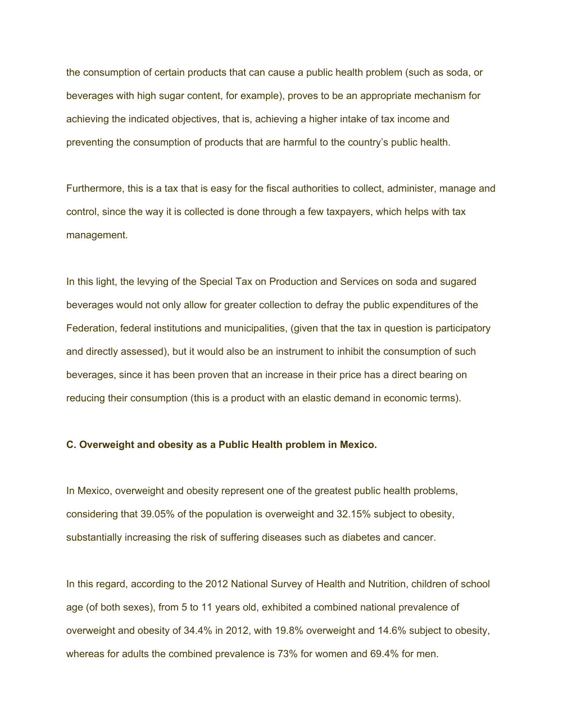the consumption of certain products that can cause a public health problem (such as soda, or beverages with high sugar content, for example), proves to be an appropriate mechanism for achieving the indicated objectives, that is, achieving a higher intake of tax income and preventing the consumption of products that are harmful to the country's public health.

Furthermore, this is a tax that is easy for the fiscal authorities to collect, administer, manage and control, since the way it is collected is done through a few taxpayers, which helps with tax management.

In this light, the levying of the Special Tax on Production and Services on soda and sugared beverages would not only allow for greater collection to defray the public expenditures of the Federation, federal institutions and municipalities, (given that the tax in question is participatory and directly assessed), but it would also be an instrument to inhibit the consumption of such beverages, since it has been proven that an increase in their price has a direct bearing on reducing their consumption (this is a product with an elastic demand in economic terms).

# **C. Overweight and obesity as a Public Health problem in Mexico.**

In Mexico, overweight and obesity represent one of the greatest public health problems, considering that 39.05% of the population is overweight and 32.15% subject to obesity, substantially increasing the risk of suffering diseases such as diabetes and cancer.

In this regard, according to the 2012 National Survey of Health and Nutrition, children of school age (of both sexes), from 5 to 11 years old, exhibited a combined national prevalence of overweight and obesity of 34.4% in 2012, with 19.8% overweight and 14.6% subject to obesity, whereas for adults the combined prevalence is 73% for women and 69.4% for men.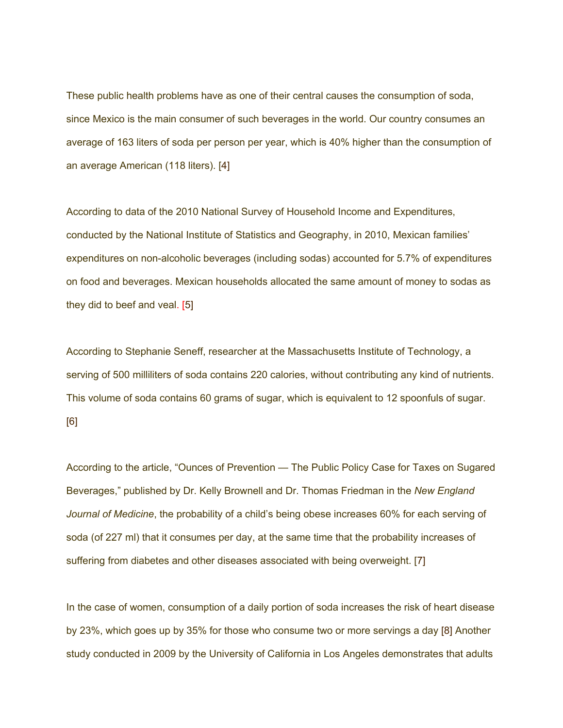These public health problems have as one of their central causes the consumption of soda, since Mexico is the main consumer of such beverages in the world. Our country consumes an average of 163 liters of soda per person per year, which is 40% higher than the consumption of an average American (118 liters). [4]

According to data of the 2010 National Survey of Household Income and Expenditures, conducted by the National Institute of Statistics and Geography, in 2010, Mexican families' expenditures on non-alcoholic beverages (including sodas) accounted for 5.7% of expenditures on food and beverages. Mexican households allocated the same amount of money to sodas as they did to beef and veal. [5]

According to Stephanie Seneff, researcher at the Massachusetts Institute of Technology, a serving of 500 milliliters of soda contains 220 calories, without contributing any kind of nutrients. This volume of soda contains 60 grams of sugar, which is equivalent to 12 spoonfuls of sugar. [6]

According to the article, "Ounces of Prevention — The Public Policy Case for Taxes on Sugared Beverages," published by Dr. Kelly Brownell and Dr. Thomas Friedman in the *New England Journal of Medicine*, the probability of a child's being obese increases 60% for each serving of soda (of 227 ml) that it consumes per day, at the same time that the probability increases of suffering from diabetes and other diseases associated with being overweight. [7]

In the case of women, consumption of a daily portion of soda increases the risk of heart disease by 23%, which goes up by 35% for those who consume two or more servings a day [8] Another study conducted in 2009 by the University of California in Los Angeles demonstrates that adults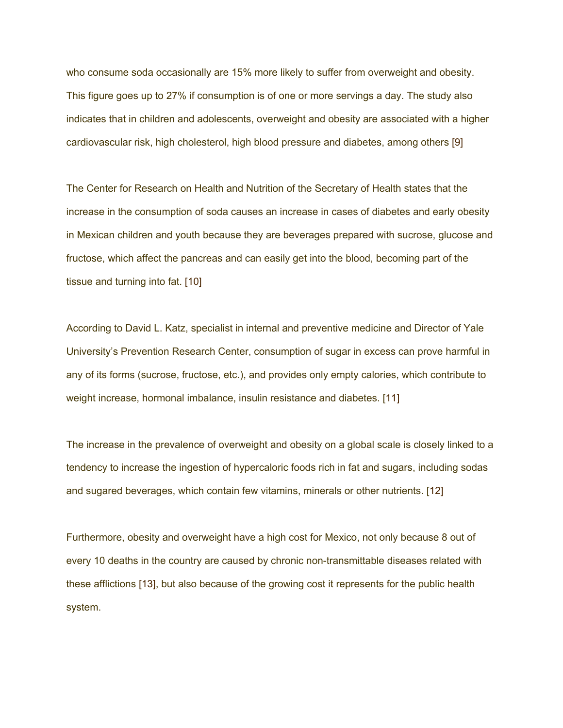who consume soda occasionally are 15% more likely to suffer from overweight and obesity. This figure goes up to 27% if consumption is of one or more servings a day. The study also indicates that in children and adolescents, overweight and obesity are associated with a higher cardiovascular risk, high cholesterol, high blood pressure and diabetes, among others [9]

The Center for Research on Health and Nutrition of the Secretary of Health states that the increase in the consumption of soda causes an increase in cases of diabetes and early obesity in Mexican children and youth because they are beverages prepared with sucrose, glucose and fructose, which affect the pancreas and can easily get into the blood, becoming part of the tissue and turning into fat. [10]

According to David L. Katz, specialist in internal and preventive medicine and Director of Yale University's Prevention Research Center, consumption of sugar in excess can prove harmful in any of its forms (sucrose, fructose, etc.), and provides only empty calories, which contribute to weight increase, hormonal imbalance, insulin resistance and diabetes. [11]

The increase in the prevalence of overweight and obesity on a global scale is closely linked to a tendency to increase the ingestion of hypercaloric foods rich in fat and sugars, including sodas and sugared beverages, which contain few vitamins, minerals or other nutrients. [12]

Furthermore, obesity and overweight have a high cost for Mexico, not only because 8 out of every 10 deaths in the country are caused by chronic non-transmittable diseases related with these afflictions [13], but also because of the growing cost it represents for the public health system.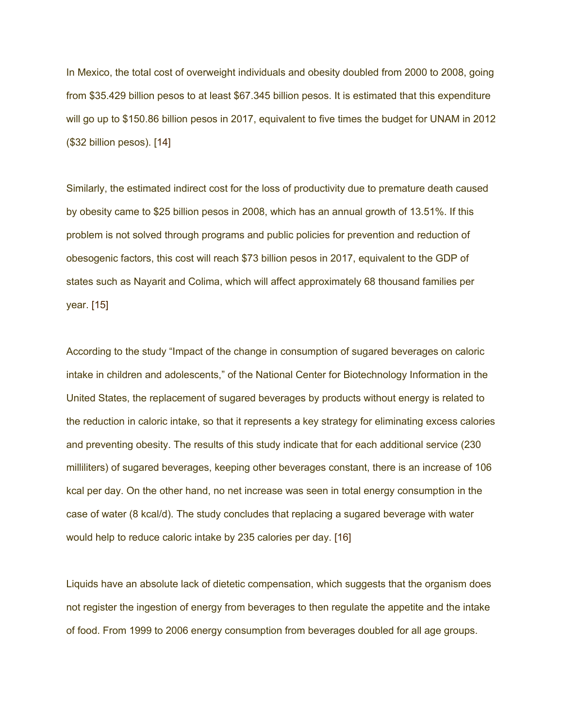In Mexico, the total cost of overweight individuals and obesity doubled from 2000 to 2008, going from \$35.429 billion pesos to at least \$67.345 billion pesos. It is estimated that this expenditure will go up to \$150.86 billion pesos in 2017, equivalent to five times the budget for UNAM in 2012 (\$32 billion pesos). [14]

Similarly, the estimated indirect cost for the loss of productivity due to premature death caused by obesity came to \$25 billion pesos in 2008, which has an annual growth of 13.51%. If this problem is not solved through programs and public policies for prevention and reduction of obesogenic factors, this cost will reach \$73 billion pesos in 2017, equivalent to the GDP of states such as Nayarit and Colima, which will affect approximately 68 thousand families per year. [15]

According to the study "Impact of the change in consumption of sugared beverages on caloric intake in children and adolescents," of the National Center for Biotechnology Information in the United States, the replacement of sugared beverages by products without energy is related to the reduction in caloric intake, so that it represents a key strategy for eliminating excess calories and preventing obesity. The results of this study indicate that for each additional service (230 milliliters) of sugared beverages, keeping other beverages constant, there is an increase of 106 kcal per day. On the other hand, no net increase was seen in total energy consumption in the case of water (8 kcal/d). The study concludes that replacing a sugared beverage with water would help to reduce caloric intake by 235 calories per day. [16]

Liquids have an absolute lack of dietetic compensation, which suggests that the organism does not register the ingestion of energy from beverages to then regulate the appetite and the intake of food. From 1999 to 2006 energy consumption from beverages doubled for all age groups.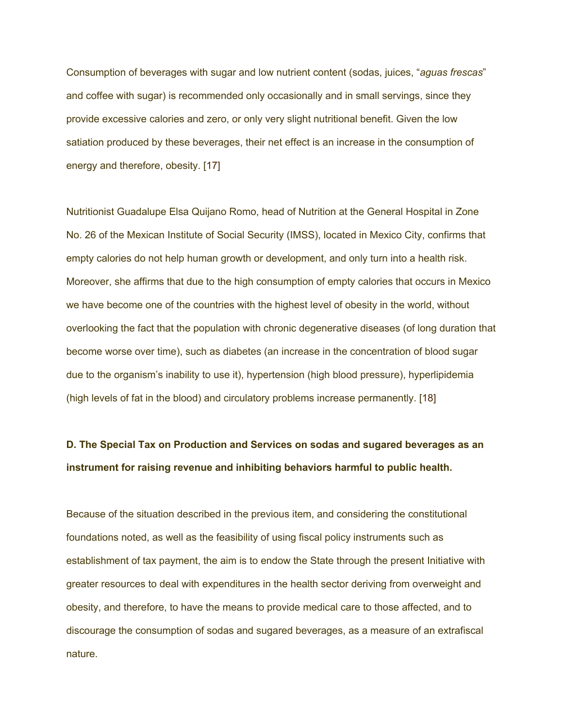Consumption of beverages with sugar and low nutrient content (sodas, juices, "*aguas frescas*" and coffee with sugar) is recommended only occasionally and in small servings, since they provide excessive calories and zero, or only very slight nutritional benefit. Given the low satiation produced by these beverages, their net effect is an increase in the consumption of energy and therefore, obesity. [17]

Nutritionist Guadalupe Elsa Quijano Romo, head of Nutrition at the General Hospital in Zone No. 26 of the Mexican Institute of Social Security (IMSS), located in Mexico City, confirms that empty calories do not help human growth or development, and only turn into a health risk. Moreover, she affirms that due to the high consumption of empty calories that occurs in Mexico we have become one of the countries with the highest level of obesity in the world, without overlooking the fact that the population with chronic degenerative diseases (of long duration that become worse over time), such as diabetes (an increase in the concentration of blood sugar due to the organism's inability to use it), hypertension (high blood pressure), hyperlipidemia (high levels of fat in the blood) and circulatory problems increase permanently. [18]

# **D. The Special Tax on Production and Services on sodas and sugared beverages as an instrument for raising revenue and inhibiting behaviors harmful to public health.**

Because of the situation described in the previous item, and considering the constitutional foundations noted, as well as the feasibility of using fiscal policy instruments such as establishment of tax payment, the aim is to endow the State through the present Initiative with greater resources to deal with expenditures in the health sector deriving from overweight and obesity, and therefore, to have the means to provide medical care to those affected, and to discourage the consumption of sodas and sugared beverages, as a measure of an extrafiscal nature.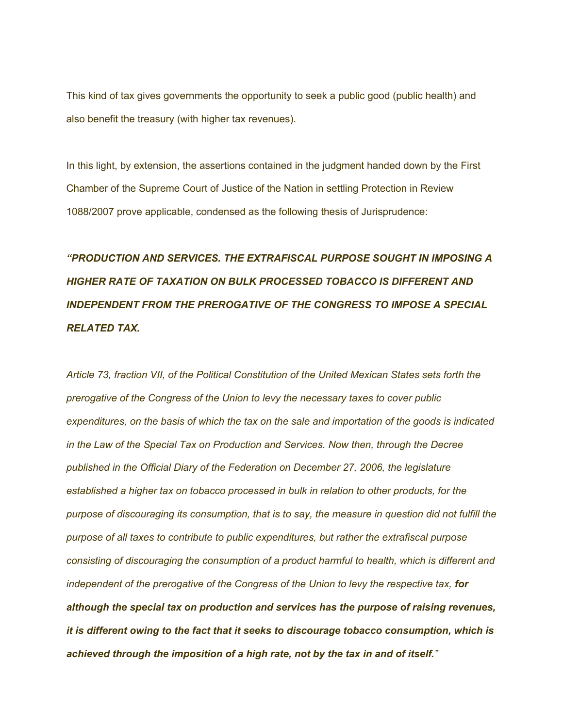This kind of tax gives governments the opportunity to seek a public good (public health) and also benefit the treasury (with higher tax revenues).

In this light, by extension, the assertions contained in the judgment handed down by the First Chamber of the Supreme Court of Justice of the Nation in settling Protection in Review 1088/2007 prove applicable, condensed as the following thesis of Jurisprudence:

# *"PRODUCTION AND SERVICES. THE EXTRAFISCAL PURPOSE SOUGHT IN IMPOSING A HIGHER RATE OF TAXATION ON BULK PROCESSED TOBACCO IS DIFFERENT AND INDEPENDENT FROM THE PREROGATIVE OF THE CONGRESS TO IMPOSE A SPECIAL RELATED TAX.*

*Article 73, fraction VII, of the Political Constitution of the United Mexican States sets forth the prerogative of the Congress of the Union to levy the necessary taxes to cover public expenditures, on the basis of which the tax on the sale and importation of the goods is indicated in the Law of the Special Tax on Production and Services. Now then, through the Decree published in the Official Diary of the Federation on December 27, 2006, the legislature established a higher tax on tobacco processed in bulk in relation to other products, for the purpose of discouraging its consumption, that is to say, the measure in question did not fulfill the purpose of all taxes to contribute to public expenditures, but rather the extrafiscal purpose consisting of discouraging the consumption of a product harmful to health, which is different and independent of the prerogative of the Congress of the Union to levy the respective tax, for although the special tax on production and services has the purpose of raising revenues, it is different owing to the fact that it seeks to discourage tobacco consumption, which is achieved through the imposition of a high rate, not by the tax in and of itself."*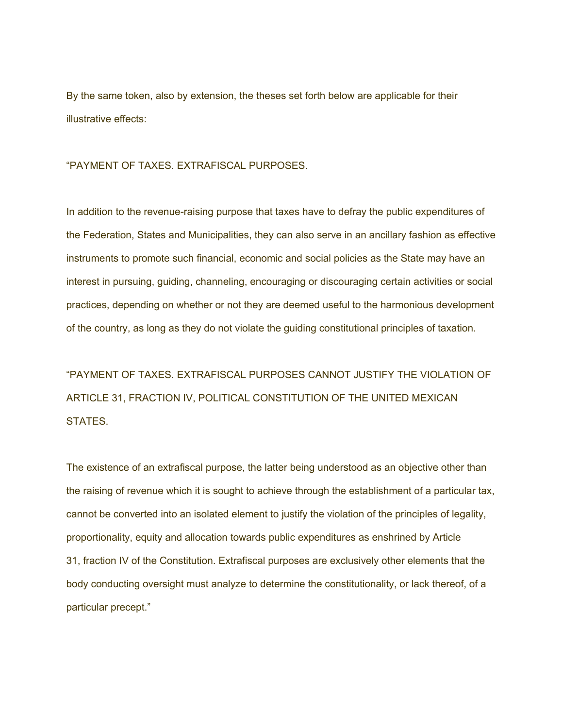By the same token, also by extension, the theses set forth below are applicable for their illustrative effects:

"PAYMENT OF TAXES. EXTRAFISCAL PURPOSES.

In addition to the revenue-raising purpose that taxes have to defray the public expenditures of the Federation, States and Municipalities, they can also serve in an ancillary fashion as effective instruments to promote such financial, economic and social policies as the State may have an interest in pursuing, guiding, channeling, encouraging or discouraging certain activities or social practices, depending on whether or not they are deemed useful to the harmonious development of the country, as long as they do not violate the guiding constitutional principles of taxation.

"PAYMENT OF TAXES. EXTRAFISCAL PURPOSES CANNOT JUSTIFY THE VIOLATION OF ARTICLE 31, FRACTION IV, POLITICAL CONSTITUTION OF THE UNITED MEXICAN STATES.

The existence of an extrafiscal purpose, the latter being understood as an objective other than the raising of revenue which it is sought to achieve through the establishment of a particular tax, cannot be converted into an isolated element to justify the violation of the principles of legality, proportionality, equity and allocation towards public expenditures as enshrined by Article 31, fraction IV of the Constitution. Extrafiscal purposes are exclusively other elements that the body conducting oversight must analyze to determine the constitutionality, or lack thereof, of a particular precept."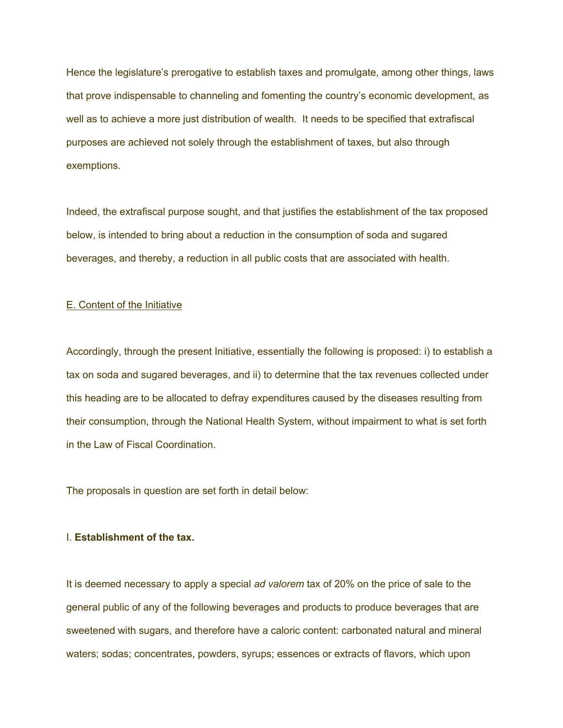Hence the legislature's prerogative to establish taxes and promulgate, among other things, laws that prove indispensable to channeling and fomenting the country's economic development, as well as to achieve a more just distribution of wealth. It needs to be specified that extrafiscal purposes are achieved not solely through the establishment of taxes, but also through exemptions.

Indeed, the extrafiscal purpose sought, and that justifies the establishment of the tax proposed below, is intended to bring about a reduction in the consumption of soda and sugared beverages, and thereby, a reduction in all public costs that are associated with health.

### E. Content of the Initiative

Accordingly, through the present Initiative, essentially the following is proposed: i) to establish a tax on soda and sugared beverages, and ii) to determine that the tax revenues collected under this heading are to be allocated to defray expenditures caused by the diseases resulting from their consumption, through the National Health System, without impairment to what is set forth in the Law of Fiscal Coordination.

The proposals in question are set forth in detail below:

## I. **Establishment of the tax.**

It is deemed necessary to apply a special *ad valorem* tax of 20% on the price of sale to the general public of any of the following beverages and products to produce beverages that are sweetened with sugars, and therefore have a caloric content: carbonated natural and mineral waters; sodas; concentrates, powders, syrups; essences or extracts of flavors, which upon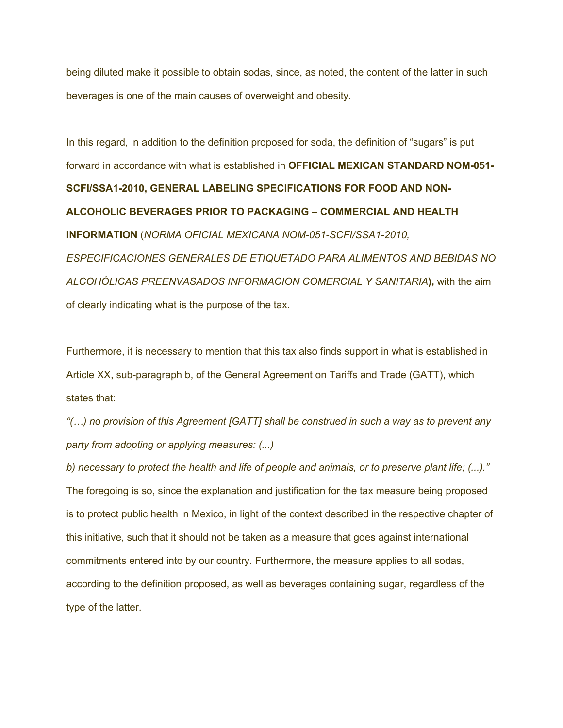being diluted make it possible to obtain sodas, since, as noted, the content of the latter in such beverages is one of the main causes of overweight and obesity.

In this regard, in addition to the definition proposed for soda, the definition of "sugars" is put forward in accordance with what is established in **OFFICIAL MEXICAN STANDARD NOM-051- SCFI/SSA1-2010, GENERAL LABELING SPECIFICATIONS FOR FOOD AND NON-ALCOHOLIC BEVERAGES PRIOR TO PACKAGING – COMMERCIAL AND HEALTH INFORMATION** (*NORMA OFICIAL MEXICANA NOM-051-SCFI/SSA1-2010, ESPECIFICACIONES GENERALES DE ETIQUETADO PARA ALIMENTOS AND BEBIDAS NO ALCOHÓLICAS PREENVASADOS INFORMACION COMERCIAL Y SANITARIA***),** with the aim of clearly indicating what is the purpose of the tax.

Furthermore, it is necessary to mention that this tax also finds support in what is established in Article XX, sub-paragraph b, of the General Agreement on Tariffs and Trade (GATT), which states that:

*"(…) no provision of this Agreement [GATT] shall be construed in such a way as to prevent any party from adopting or applying measures: (...)*

*b) necessary to protect the health and life of people and animals, or to preserve plant life; (...)."* The foregoing is so, since the explanation and justification for the tax measure being proposed is to protect public health in Mexico, in light of the context described in the respective chapter of this initiative, such that it should not be taken as a measure that goes against international commitments entered into by our country. Furthermore, the measure applies to all sodas, according to the definition proposed, as well as beverages containing sugar, regardless of the type of the latter.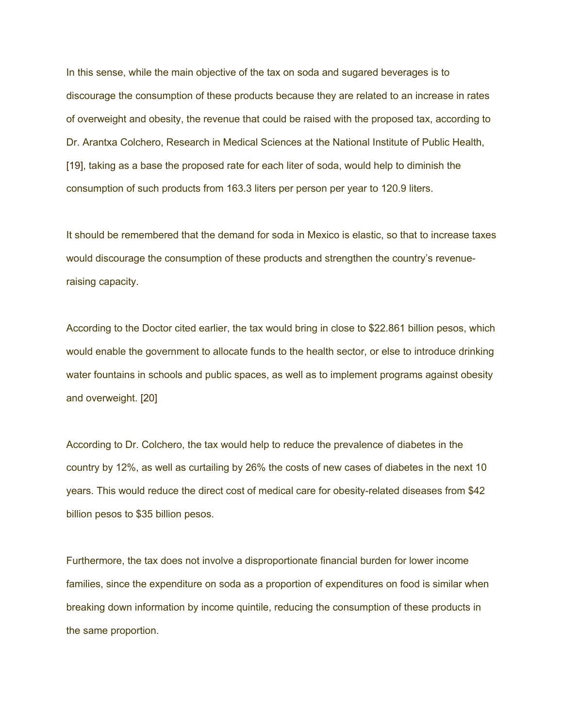In this sense, while the main objective of the tax on soda and sugared beverages is to discourage the consumption of these products because they are related to an increase in rates of overweight and obesity, the revenue that could be raised with the proposed tax, according to Dr. Arantxa Colchero, Research in Medical Sciences at the National Institute of Public Health, [19], taking as a base the proposed rate for each liter of soda, would help to diminish the consumption of such products from 163.3 liters per person per year to 120.9 liters.

It should be remembered that the demand for soda in Mexico is elastic, so that to increase taxes would discourage the consumption of these products and strengthen the country's revenueraising capacity.

According to the Doctor cited earlier, the tax would bring in close to \$22.861 billion pesos, which would enable the government to allocate funds to the health sector, or else to introduce drinking water fountains in schools and public spaces, as well as to implement programs against obesity and overweight. [20]

According to Dr. Colchero, the tax would help to reduce the prevalence of diabetes in the country by 12%, as well as curtailing by 26% the costs of new cases of diabetes in the next 10 years. This would reduce the direct cost of medical care for obesity-related diseases from \$42 billion pesos to \$35 billion pesos.

Furthermore, the tax does not involve a disproportionate financial burden for lower income families, since the expenditure on soda as a proportion of expenditures on food is similar when breaking down information by income quintile, reducing the consumption of these products in the same proportion.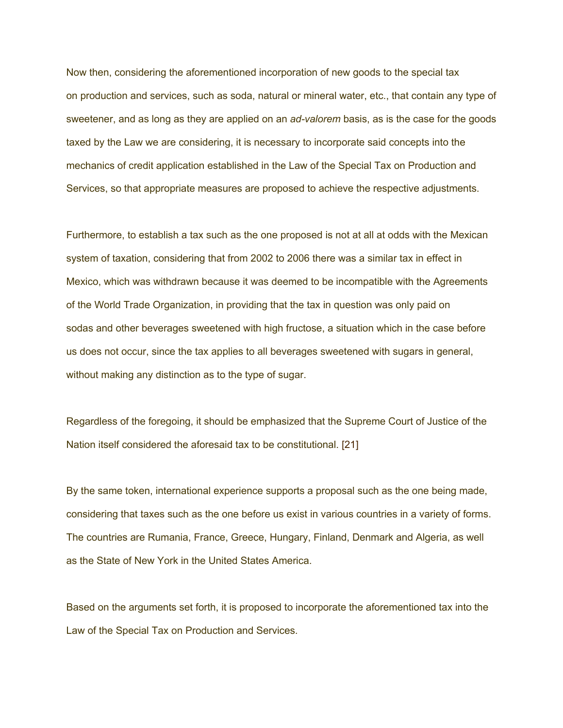Now then, considering the aforementioned incorporation of new goods to the special tax on production and services, such as soda, natural or mineral water, etc., that contain any type of sweetener, and as long as they are applied on an *ad-valorem* basis, as is the case for the goods taxed by the Law we are considering, it is necessary to incorporate said concepts into the mechanics of credit application established in the Law of the Special Tax on Production and Services, so that appropriate measures are proposed to achieve the respective adjustments.

Furthermore, to establish a tax such as the one proposed is not at all at odds with the Mexican system of taxation, considering that from 2002 to 2006 there was a similar tax in effect in Mexico, which was withdrawn because it was deemed to be incompatible with the Agreements of the World Trade Organization, in providing that the tax in question was only paid on sodas and other beverages sweetened with high fructose, a situation which in the case before us does not occur, since the tax applies to all beverages sweetened with sugars in general, without making any distinction as to the type of sugar.

Regardless of the foregoing, it should be emphasized that the Supreme Court of Justice of the Nation itself considered the aforesaid tax to be constitutional. [21]

By the same token, international experience supports a proposal such as the one being made, considering that taxes such as the one before us exist in various countries in a variety of forms. The countries are Rumania, France, Greece, Hungary, Finland, Denmark and Algeria, as well as the State of New York in the United States America.

Based on the arguments set forth, it is proposed to incorporate the aforementioned tax into the Law of the Special Tax on Production and Services.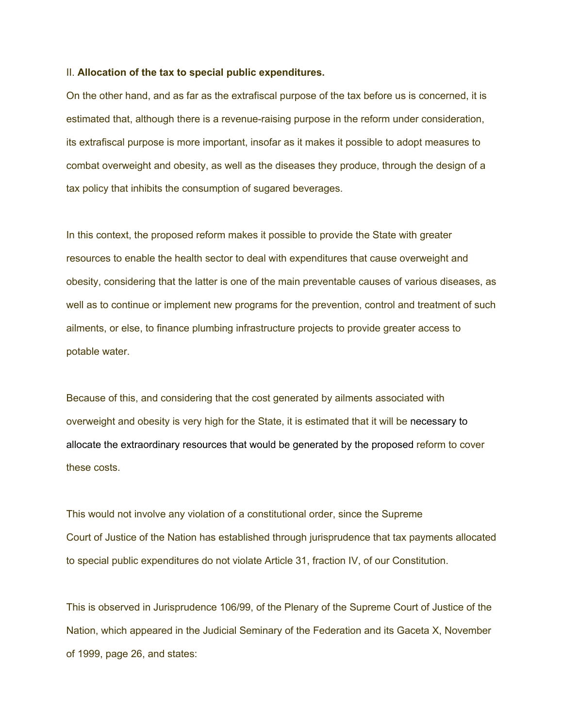#### II. **Allocation of the tax to special public expenditures.**

On the other hand, and as far as the extrafiscal purpose of the tax before us is concerned, it is estimated that, although there is a revenue-raising purpose in the reform under consideration, its extrafiscal purpose is more important, insofar as it makes it possible to adopt measures to combat overweight and obesity, as well as the diseases they produce, through the design of a tax policy that inhibits the consumption of sugared beverages.

In this context, the proposed reform makes it possible to provide the State with greater resources to enable the health sector to deal with expenditures that cause overweight and obesity, considering that the latter is one of the main preventable causes of various diseases, as well as to continue or implement new programs for the prevention, control and treatment of such ailments, or else, to finance plumbing infrastructure projects to provide greater access to potable water.

Because of this, and considering that the cost generated by ailments associated with overweight and obesity is very high for the State, it is estimated that it will be necessary to allocate the extraordinary resources that would be generated by the proposed reform to cover these costs.

This would not involve any violation of a constitutional order, since the Supreme Court of Justice of the Nation has established through jurisprudence that tax payments allocated to special public expenditures do not violate Article 31, fraction IV, of our Constitution.

This is observed in Jurisprudence 106/99, of the Plenary of the Supreme Court of Justice of the Nation, which appeared in the Judicial Seminary of the Federation and its Gaceta X, November of 1999, page 26, and states: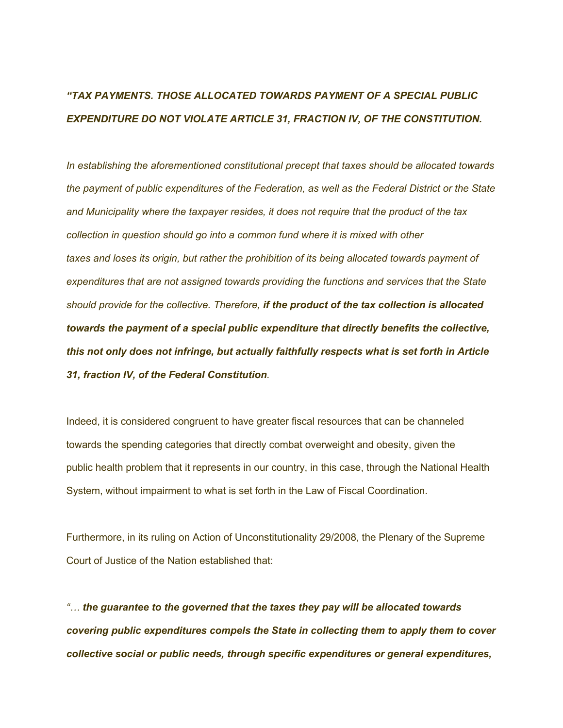# *"TAX PAYMENTS. THOSE ALLOCATED TOWARDS PAYMENT OF A SPECIAL PUBLIC EXPENDITURE DO NOT VIOLATE ARTICLE 31, FRACTION IV, OF THE CONSTITUTION.*

*In establishing the aforementioned constitutional precept that taxes should be allocated towards the payment of public expenditures of the Federation, as well as the Federal District or the State and Municipality where the taxpayer resides, it does not require that the product of the tax collection in question should go into a common fund where it is mixed with other taxes and loses its origin, but rather the prohibition of its being allocated towards payment of expenditures that are not assigned towards providing the functions and services that the State should provide for the collective. Therefore, if the product of the tax collection is allocated towards the payment of a special public expenditure that directly benefits the collective, this not only does not infringe, but actually faithfully respects what is set forth in Article 31, fraction IV, of the Federal Constitution.*

Indeed, it is considered congruent to have greater fiscal resources that can be channeled towards the spending categories that directly combat overweight and obesity, given the public health problem that it represents in our country, in this case, through the National Health System, without impairment to what is set forth in the Law of Fiscal Coordination.

Furthermore, in its ruling on Action of Unconstitutionality 29/2008, the Plenary of the Supreme Court of Justice of the Nation established that:

*"… the guarantee to the governed that the taxes they pay will be allocated towards covering public expenditures compels the State in collecting them to apply them to cover collective social or public needs, through specific expenditures or general expenditures,*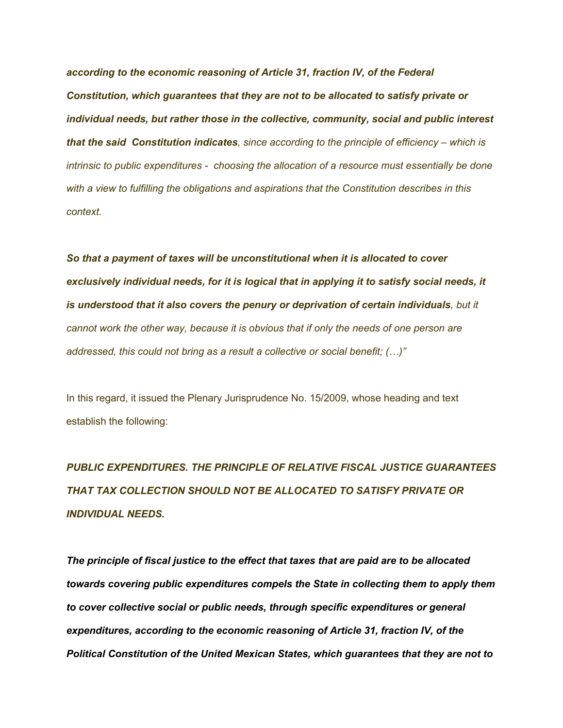*according to the economic reasoning of Article 31, fraction IV, of the Federal Constitution, which guarantees that they are not to be allocated to satisfy private or individual needs, but rather those in the collective, community, social and public interest that the said Constitution indicates, since according to the principle of efficiency – which is intrinsic to public expenditures - choosing the allocation of a resource must essentially be done with a view to fulfilling the obligations and aspirations that the Constitution describes in this context.* 

*So that a payment of taxes will be unconstitutional when it is allocated to cover exclusively individual needs, for it is logical that in applying it to satisfy social needs, it is understood that it also covers the penury or deprivation of certain individuals, but it cannot work the other way, because it is obvious that if only the needs of one person are addressed, this could not bring as a result a collective or social benefit; (…)"*

In this regard, it issued the Plenary Jurisprudence No. 15/2009, whose heading and text establish the following:

*PUBLIC EXPENDITURES. THE PRINCIPLE OF RELATIVE FISCAL JUSTICE GUARANTEES THAT TAX COLLECTION SHOULD NOT BE ALLOCATED TO SATISFY PRIVATE OR INDIVIDUAL NEEDS.*

*The principle of fiscal justice to the effect that taxes that are paid are to be allocated towards covering public expenditures compels the State in collecting them to apply them to cover collective social or public needs, through specific expenditures or general expenditures, according to the economic reasoning of Article 31, fraction IV, of the Political Constitution of the United Mexican States, which guarantees that they are not to*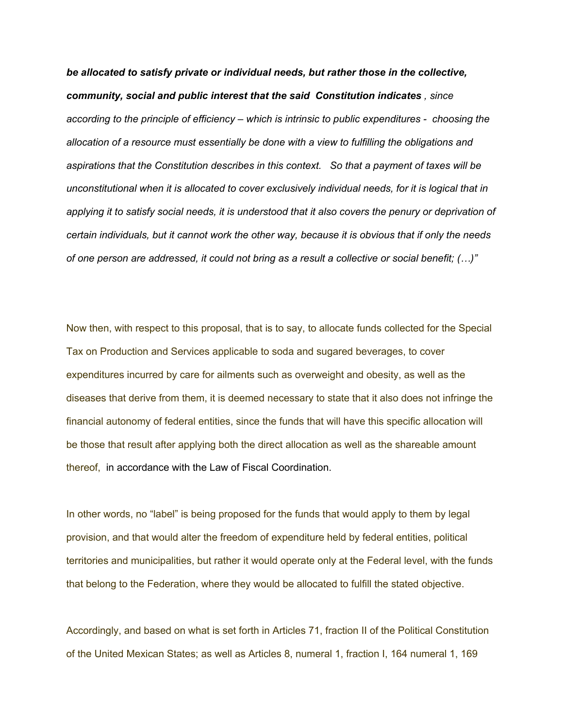*be allocated to satisfy private or individual needs, but rather those in the collective, community, social and public interest that the said Constitution indicates , since according to the principle of efficiency – which is intrinsic to public expenditures - choosing the allocation of a resource must essentially be done with a view to fulfilling the obligations and aspirations that the Constitution describes in this context. So that a payment of taxes will be unconstitutional when it is allocated to cover exclusively individual needs, for it is logical that in applying it to satisfy social needs, it is understood that it also covers the penury or deprivation of certain individuals, but it cannot work the other way, because it is obvious that if only the needs of one person are addressed, it could not bring as a result a collective or social benefit; (…)"*

Now then, with respect to this proposal, that is to say, to allocate funds collected for the Special Tax on Production and Services applicable to soda and sugared beverages, to cover expenditures incurred by care for ailments such as overweight and obesity, as well as the diseases that derive from them, it is deemed necessary to state that it also does not infringe the financial autonomy of federal entities, since the funds that will have this specific allocation will be those that result after applying both the direct allocation as well as the shareable amount thereof, in accordance with the Law of Fiscal Coordination.

In other words, no "label" is being proposed for the funds that would apply to them by legal provision, and that would alter the freedom of expenditure held by federal entities, political territories and municipalities, but rather it would operate only at the Federal level, with the funds that belong to the Federation, where they would be allocated to fulfill the stated objective.

Accordingly, and based on what is set forth in Articles 71, fraction II of the Political Constitution of the United Mexican States; as well as Articles 8, numeral 1, fraction I, 164 numeral 1, 169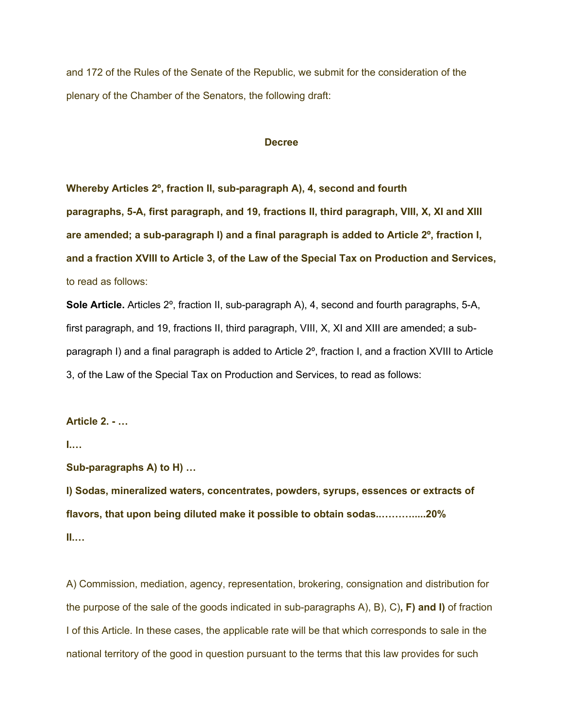and 172 of the Rules of the Senate of the Republic, we submit for the consideration of the plenary of the Chamber of the Senators, the following draft:

## **Decree**

**Whereby Articles 2º, fraction II, sub-paragraph A), 4, second and fourth paragraphs, 5-A, first paragraph, and 19, fractions II, third paragraph, VIII, X, XI and XIII are amended; a sub-paragraph I) and a final paragraph is added to Article 2º, fraction I, and a fraction XVIII to Article 3, of the Law of the Special Tax on Production and Services,**  to read as follows:

**Sole Article.** Articles 2º, fraction II, sub-paragraph A), 4, second and fourth paragraphs, 5-A, first paragraph, and 19, fractions II, third paragraph, VIII, X, XI and XIII are amended; a subparagraph I) and a final paragraph is added to Article 2º, fraction I, and a fraction XVIII to Article 3, of the Law of the Special Tax on Production and Services, to read as follows:

## **Article 2. - …**

**I.…**

**Sub-paragraphs A) to H) …**

**I) Sodas, mineralized waters, concentrates, powders, syrups, essences or extracts of flavors, that upon being diluted make it possible to obtain sodas..……….....20% II.…**

A) Commission, mediation, agency, representation, brokering, consignation and distribution for the purpose of the sale of the goods indicated in sub-paragraphs A), B), C)**, F) and I)** of fraction I of this Article. In these cases, the applicable rate will be that which corresponds to sale in the national territory of the good in question pursuant to the terms that this law provides for such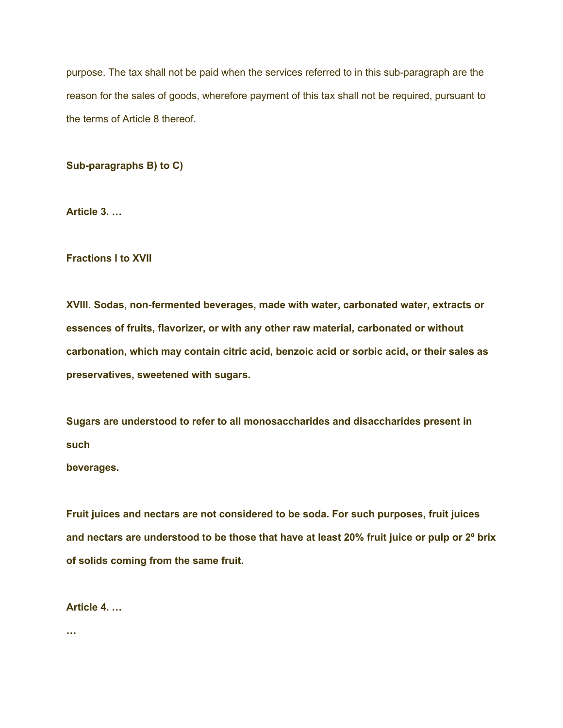purpose. The tax shall not be paid when the services referred to in this sub-paragraph are the reason for the sales of goods, wherefore payment of this tax shall not be required, pursuant to the terms of Article 8 thereof.

**Sub-paragraphs B) to C)**

**Article 3. …**

# **Fractions I to XVII**

**XVIII. Sodas, non-fermented beverages, made with water, carbonated water, extracts or essences of fruits, flavorizer, or with any other raw material, carbonated or without carbonation, which may contain citric acid, benzoic acid or sorbic acid, or their sales as preservatives, sweetened with sugars.**

**Sugars are understood to refer to all monosaccharides and disaccharides present in such** 

**beverages.**

**Fruit juices and nectars are not considered to be soda. For such purposes, fruit juices and nectars are understood to be those that have at least 20% fruit juice or pulp or 2º brix of solids coming from the same fruit.**

# **Article 4. …**

**…**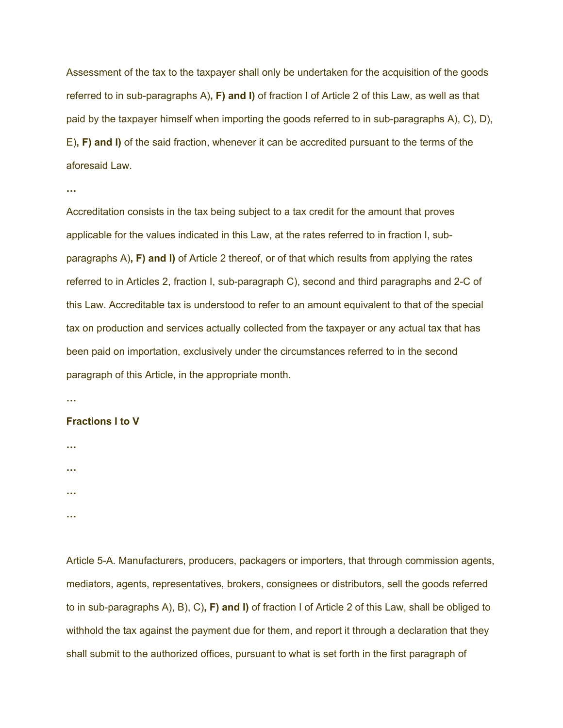Assessment of the tax to the taxpayer shall only be undertaken for the acquisition of the goods referred to in sub-paragraphs A)**, F) and I)** of fraction I of Article 2 of this Law, as well as that paid by the taxpayer himself when importing the goods referred to in sub-paragraphs A), C), D), E)**, F) and I)** of the said fraction, whenever it can be accredited pursuant to the terms of the aforesaid Law.

```
…
```
Accreditation consists in the tax being subject to a tax credit for the amount that proves applicable for the values indicated in this Law, at the rates referred to in fraction I, subparagraphs A)**, F) and I)** of Article 2 thereof, or of that which results from applying the rates referred to in Articles 2, fraction I, sub-paragraph C), second and third paragraphs and 2-C of this Law. Accreditable tax is understood to refer to an amount equivalent to that of the special tax on production and services actually collected from the taxpayer or any actual tax that has been paid on importation, exclusively under the circumstances referred to in the second paragraph of this Article, in the appropriate month.

**…**

# **Fractions I to V**

**…**

**…**

**…**

**…**

Article 5-A. Manufacturers, producers, packagers or importers, that through commission agents, mediators, agents, representatives, brokers, consignees or distributors, sell the goods referred to in sub-paragraphs A), B), C)**, F) and I)** of fraction I of Article 2 of this Law, shall be obliged to withhold the tax against the payment due for them, and report it through a declaration that they shall submit to the authorized offices, pursuant to what is set forth in the first paragraph of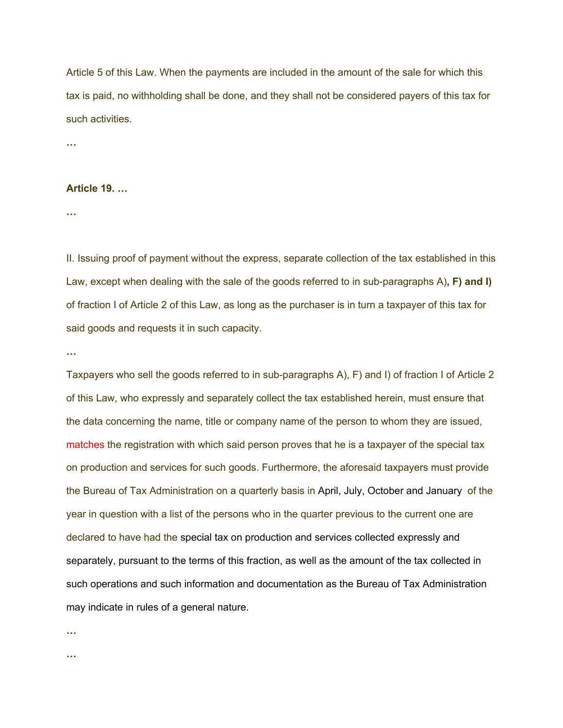Article 5 of this Law. When the payments are included in the amount of the sale for which this tax is paid, no withholding shall be done, and they shall not be considered payers of this tax for such activities.

**…**

## **Article 19. …**

**…**

II. Issuing proof of payment without the express, separate collection of the tax established in this Law, except when dealing with the sale of the goods referred to in sub-paragraphs A)**, F) and I)** of fraction I of Article 2 of this Law, as long as the purchaser is in turn a taxpayer of this tax for said goods and requests it in such capacity.

**…**

Taxpayers who sell the goods referred to in sub-paragraphs A), F) and I) of fraction I of Article 2 of this Law, who expressly and separately collect the tax established herein, must ensure that the data concerning the name, title or company name of the person to whom they are issued, matches the registration with which said person proves that he is a taxpayer of the special tax on production and services for such goods. Furthermore, the aforesaid taxpayers must provide the Bureau of Tax Administration on a quarterly basis in April, July, October and January of the year in question with a list of the persons who in the quarter previous to the current one are declared to have had the special tax on production and services collected expressly and separately, pursuant to the terms of this fraction, as well as the amount of the tax collected in such operations and such information and documentation as the Bureau of Tax Administration may indicate in rules of a general nature.

**…**

**…**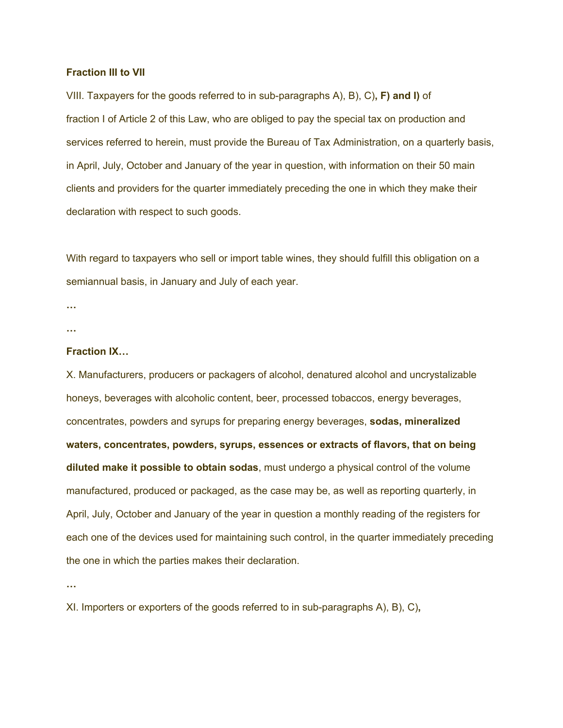#### **Fraction III to VII**

VIII. Taxpayers for the goods referred to in sub-paragraphs A), B), C)**, F) and I)** of fraction I of Article 2 of this Law, who are obliged to pay the special tax on production and services referred to herein, must provide the Bureau of Tax Administration, on a quarterly basis, in April, July, October and January of the year in question, with information on their 50 main clients and providers for the quarter immediately preceding the one in which they make their declaration with respect to such goods.

With regard to taxpayers who sell or import table wines, they should fulfill this obligation on a semiannual basis, in January and July of each year.

**… …**

#### **Fraction IX…**

X. Manufacturers, producers or packagers of alcohol, denatured alcohol and uncrystalizable honeys, beverages with alcoholic content, beer, processed tobaccos, energy beverages, concentrates, powders and syrups for preparing energy beverages, **sodas, mineralized waters, concentrates, powders, syrups, essences or extracts of flavors, that on being diluted make it possible to obtain sodas**, must undergo a physical control of the volume manufactured, produced or packaged, as the case may be, as well as reporting quarterly, in April, July, October and January of the year in question a monthly reading of the registers for each one of the devices used for maintaining such control, in the quarter immediately preceding the one in which the parties makes their declaration.

**…**

XI. Importers or exporters of the goods referred to in sub-paragraphs A), B), C)**,**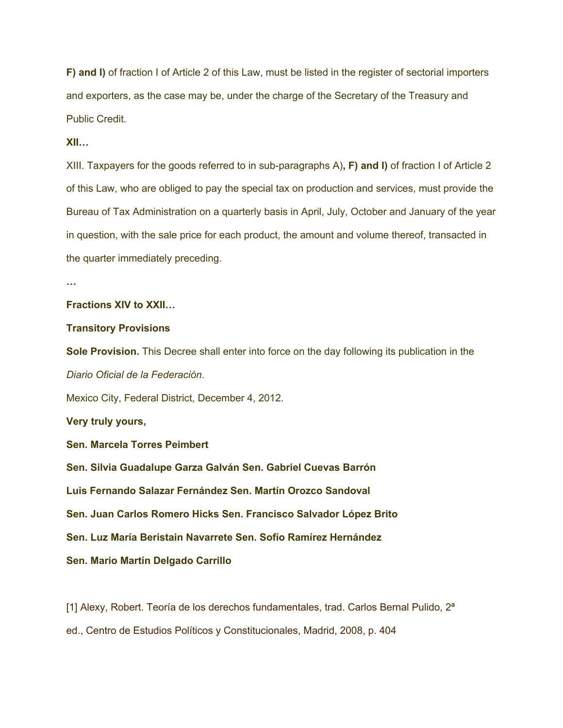**F) and I)** of fraction I of Article 2 of this Law, must be listed in the register of sectorial importers and exporters, as the case may be, under the charge of the Secretary of the Treasury and Public Credit.

# **XII…**

XIII. Taxpayers for the goods referred to in sub-paragraphs A)**, F) and I)** of fraction I of Article 2 of this Law, who are obliged to pay the special tax on production and services, must provide the Bureau of Tax Administration on a quarterly basis in April, July, October and January of the year in question, with the sale price for each product, the amount and volume thereof, transacted in the quarter immediately preceding.

**…**

# **Fractions XIV to XXII…**

#### **Transitory Provisions**

**Sole Provision.** This Decree shall enter into force on the day following its publication in the *Diario Oficial de la Federación*.

Mexico City, Federal District, December 4, 2012.

**Very truly yours,**

# **Sen. Marcela Torres Peimbert**

**Sen. Silvia Guadalupe Garza Galván Sen. Gabriel Cuevas Barrón**

**Luis Fernando Salazar Fernández Sen. Martín Orozco Sandoval**

**Sen. Juan Carlos Romero Hicks Sen. Francisco Salvador López Brito**

**Sen. Luz María Beristain Navarrete Sen. Sofío Ramírez Hernández**

**Sen. Mario Martín Delgado Carrillo**

[1] Alexy, Robert. Teoría de los derechos fundamentales, trad. Carlos Bernal Pulido,  $2<sup>a</sup>$ 

ed., Centro de Estudios Políticos y Constitucionales, Madrid, 2008, p. 404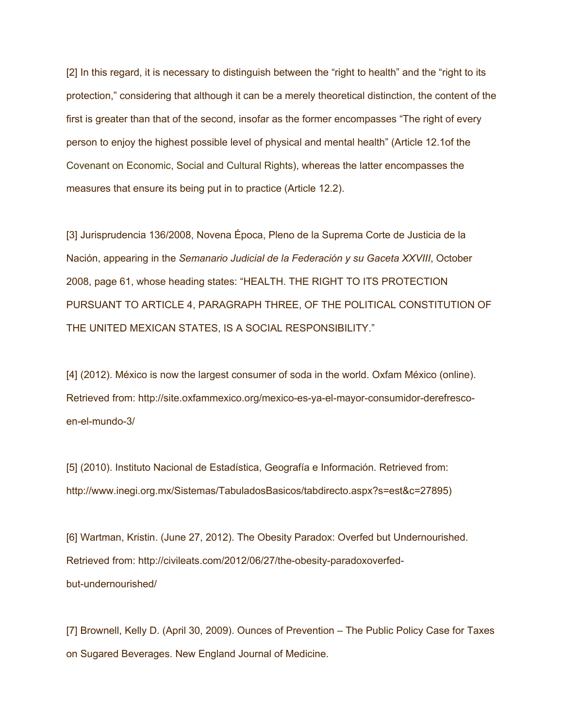[2] In this regard, it is necessary to distinguish between the "right to health" and the "right to its protection," considering that although it can be a merely theoretical distinction, the content of the first is greater than that of the second, insofar as the former encompasses "The right of every person to enjoy the highest possible level of physical and mental health" (Article 12.1of the Covenant on Economic, Social and Cultural Rights), whereas the latter encompasses the measures that ensure its being put in to practice (Article 12.2).

[3] Jurisprudencia 136/2008, Novena Época, Pleno de la Suprema Corte de Justicia de la Nación, appearing in the *Semanario Judicial de la Federación y su Gaceta XXVIII*, October 2008, page 61, whose heading states: "HEALTH. THE RIGHT TO ITS PROTECTION PURSUANT TO ARTICLE 4, PARAGRAPH THREE, OF THE POLITICAL CONSTITUTION OF THE UNITED MEXICAN STATES, IS A SOCIAL RESPONSIBILITY."

[4] (2012). México is now the largest consumer of soda in the world. Oxfam México (online). Retrieved from: http://site.oxfammexico.org/mexico-es-ya-el-mayor-consumidor-derefrescoen-el-mundo-3/

[5] (2010). Instituto Nacional de Estadística, Geografía e Información. Retrieved from: http://www.inegi.org.mx/Sistemas/TabuladosBasicos/tabdirecto.aspx?s=est&c=27895)

[6] Wartman, Kristin. (June 27, 2012). The Obesity Paradox: Overfed but Undernourished. Retrieved from: http://civileats.com/2012/06/27/the-obesity-paradoxoverfedbut-undernourished/

[7] Brownell, Kelly D. (April 30, 2009). Ounces of Prevention – The Public Policy Case for Taxes on Sugared Beverages. New England Journal of Medicine.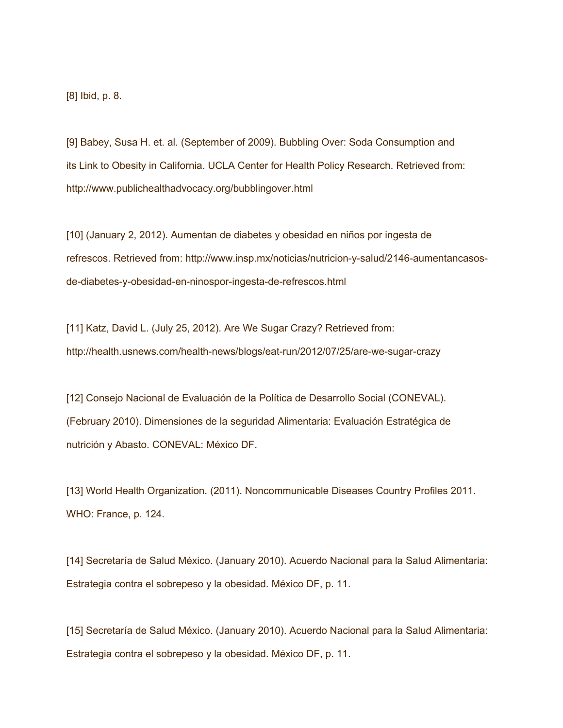[8] Ibid, p. 8.

[9] Babey, Susa H. et. al. (September of 2009). Bubbling Over: Soda Consumption and its Link to Obesity in California. UCLA Center for Health Policy Research. Retrieved from: http://www.publichealthadvocacy.org/bubblingover.html

[10] (January 2, 2012). Aumentan de diabetes y obesidad en niños por ingesta de refrescos. Retrieved from: http://www.insp.mx/noticias/nutricion-y-salud/2146-aumentancasosde-diabetes-y-obesidad-en-ninospor-ingesta-de-refrescos.html

[11] Katz, David L. (July 25, 2012). Are We Sugar Crazy? Retrieved from: http://health.usnews.com/health-news/blogs/eat-run/2012/07/25/are-we-sugar-crazy

[12] Consejo Nacional de Evaluación de la Política de Desarrollo Social (CONEVAL). (February 2010). Dimensiones de la seguridad Alimentaria: Evaluación Estratégica de nutrición y Abasto. CONEVAL: México DF.

[13] World Health Organization. (2011). Noncommunicable Diseases Country Profiles 2011. WHO: France, p. 124.

[14] Secretaría de Salud México. (January 2010). Acuerdo Nacional para la Salud Alimentaria: Estrategia contra el sobrepeso y la obesidad. México DF, p. 11.

[15] Secretaría de Salud México. (January 2010). Acuerdo Nacional para la Salud Alimentaria: Estrategia contra el sobrepeso y la obesidad. México DF, p. 11.